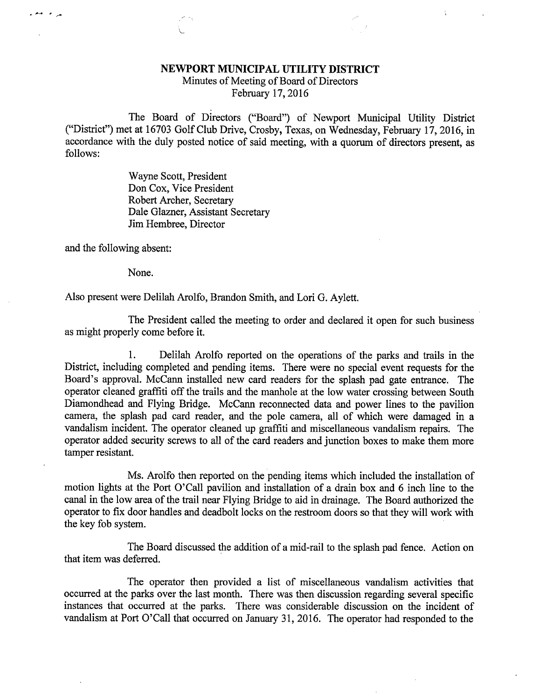## NEWPORT MUNICIPAL UTILITY DISTRICT

Minutes of Meeting of Board of Directors February 17, 2016

The Board of Directors ("Board") of Newport Municipal Utility District ("District") met at 16703 Golf Club Drive, Crosby, Texas, on Wednesday, February 17, 2016, in accordance with the duly posted notice of said meeting, with a quorum of directors present, as follows:

> Wayne Scott, President Don Cox, Vice President Robert Archer, Secretary Dale Glazner, Assistant Secretary Jim Hembree, Director

and the following absent:

مراج المدين<br>مراجع

None.

Also present were Delilah Arolfo, Brandon Smith, and Lori G. Aylett.

The President called the meeting to order and declared it open for such business as might properly come before it.

1. Delilah Arolfo reported on the operations of the parks and trails in the District, including completed and pending items. There were no special event requests for the Board's approval. McCann installed new card readers for the splash pad gate entrance. The operator cleaned graffiti off the trails and the manhole at the low water crossing between South Diamondhead and Flying Bridge. McCann reconnected data and power lines to the pavilion camera, the splash pad card reader, and the pole camera, all of which were damaged in a vandalism incident. The operator cleaned up graffiti and miscellaneous vandalism repairs. The operator added security screws to all of the card readers and junction boxes to make them more tamper resistant.

Ms. Arolfo then reported on the pending items which included the installation of motion lights at the Port O'Call pavilion and installation of a drain box and 6 inch line to the canal in the low area of the trail near Flying Bridge to aid in drainage. The Board authorized the operator to fix door handles and deadbolt locks on the restroom doors so that they will work with the key fob system.

The Board discussed the addition of a mid-rail to the splash pad fence. Action on that item was deferred.

The operator then provided a list of miscellaneous vandalism activities that occurred at the parks over the last month. There was then discussion regarding several specific instances that occurred at the parks. There was considerable discussion on the incident of vandalism at Port O'Call that occurred on January 31, 2016. The operator had responded to the